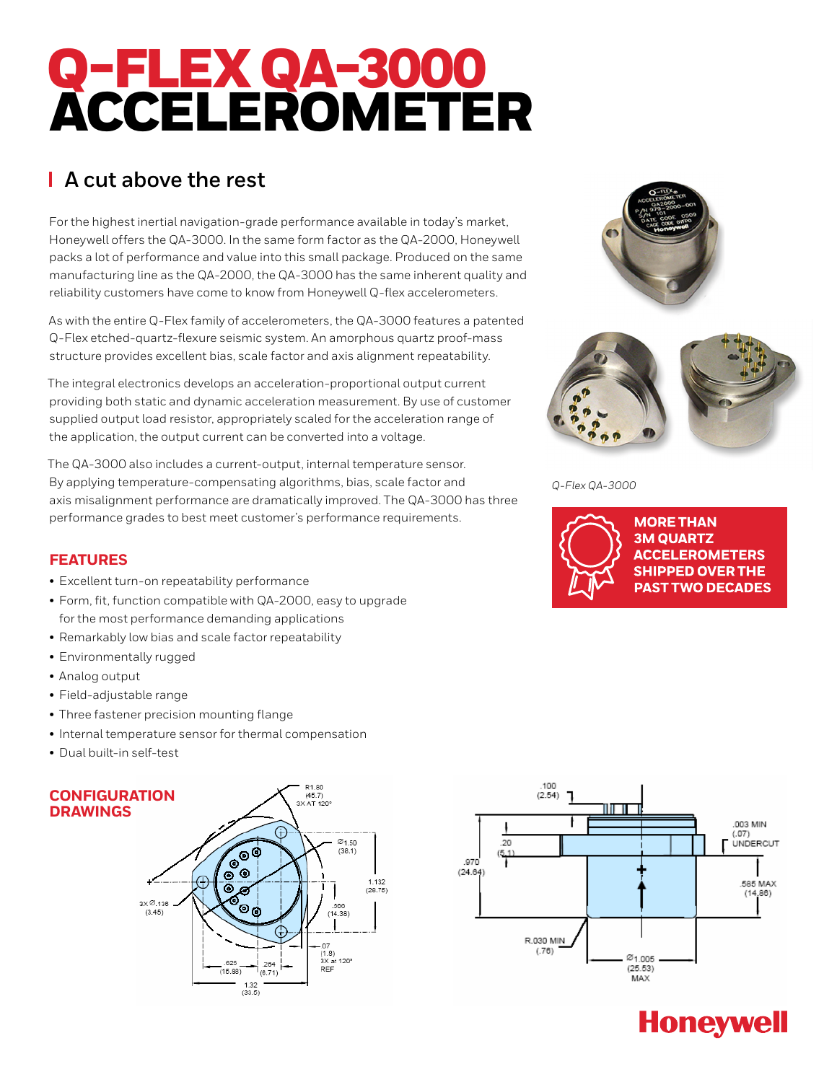# Q-FLEX QA-3000 ACCELEROMETER

### **A cut above the rest**

For the highest inertial navigation-grade performance available in today's market, Honeywell offers the QA-3000. In the same form factor as the QA-2000, Honeywell packs a lot of performance and value into this small package. Produced on the same manufacturing line as the QA-2000, the QA-3000 has the same inherent quality and reliability customers have come to know from Honeywell Q-flex accelerometers.

As with the entire Q-Flex family of accelerometers, the QA-3000 features a patented Q-Flex etched-quartz-flexure seismic system. An amorphous quartz proof-mass structure provides excellent bias, scale factor and axis alignment repeatability.

The integral electronics develops an acceleration-proportional output current providing both static and dynamic acceleration measurement. By use of customer supplied output load resistor, appropriately scaled for the acceleration range of the application, the output current can be converted into a voltage.

The QA-3000 also includes a current-output, internal temperature sensor. By applying temperature-compensating algorithms, bias, scale factor and axis misalignment performance are dramatically improved. The QA-3000 has three performance grades to best meet customer's performance requirements.

### **FEATURES**

- Excellent turn-on repeatability performance
- Form, fit, function compatible with QA-2000, easy to upgrade for the most performance demanding applications
- Remarkably low bias and scale factor repeatability
- Environmentally rugged
- Analog output
- Field-adjustable range
- Three fastener precision mounting flange
- Internal temperature sensor for thermal compensation
- Dual built-in self-test









*Q-Flex QA-3000*



## **Honeywell**